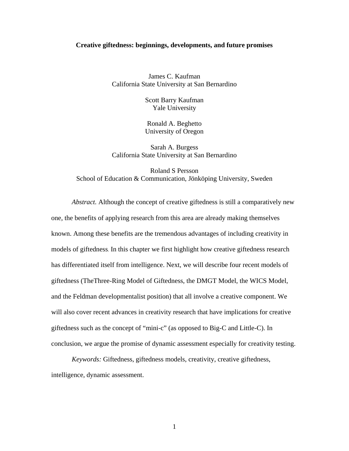### **Creative giftedness: beginnings, developments, and future promises**

James C. Kaufman California State University at San Bernardino

> Scott Barry Kaufman Yale University

Ronald A. Beghetto University of Oregon

Sarah A. Burgess California State University at San Bernardino

Roland S Persson School of Education & Communication, Jönköping University, Sweden

*Abstract.* Although the concept of creative giftedness is still a comparatively new one, the benefits of applying research from this area are already making themselves known. Among these benefits are the tremendous advantages of including creativity in models of giftedness. In this chapter we first highlight how creative giftedness research has differentiated itself from intelligence. Next, we will describe four recent models of giftedness (TheThree-Ring Model of Giftedness, the DMGT Model, the WICS Model, and the Feldman developmentalist position) that all involve a creative component. We will also cover recent advances in creativity research that have implications for creative giftedness such as the concept of "mini-c" (as opposed to Big-C and Little-C). In conclusion, we argue the promise of dynamic assessment especially for creativity testing.

*Keywords:* Giftedness, giftedness models, creativity, creative giftedness, intelligence, dynamic assessment.

1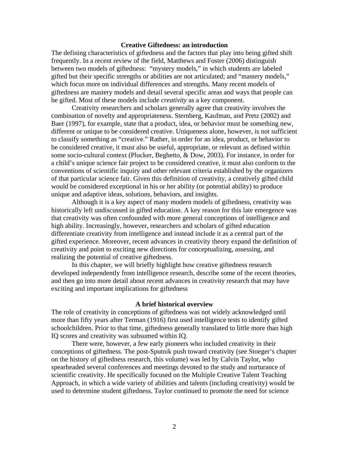### **Creative Giftedness: an introduction**

The defining characteristics of giftedness and the factors that play into being gifted shift frequently. In a recent review of the field, Matthews and Foster (2006) distinguish between two models of giftedness: "mystery models," in which students are labeled gifted but their specific strengths or abilities are not articulated; and "mastery models," which focus more on individual differences and strengths. Many recent models of giftedness are mastery models and detail several specific areas and ways that people can be gifted. Most of these models include *creativity* as a key component.

Creativity researchers and scholars generally agree that creativity involves the combination of novelty and appropriateness. Sternberg, Kaufman, and Pretz (2002) and Baer (1997), for example, state that a product, idea, or behavior must be something new, different or unique to be considered creative. Uniqueness alone, however, is not sufficient to classify something as "creative." Rather, in order for an idea, product, or behavior to be considered creative, it must also be useful, appropriate, or relevant as defined within some socio-cultural context (Plucker, Beghetto, & Dow, 2003). For instance, in order for a child's unique science fair project to be considered creative, it must also conform to the conventions of scientific inquiry and other relevant criteria established by the organizers of that particular science fair. Given this definition of creativity, a creatively gifted child would be considered exceptional in his or her ability (or potential ability) to produce unique and adaptive ideas, solutions, behaviors, and insights.

Although it is a key aspect of many modern models of giftedness, creativity was historically left undiscussed in gifted education. A key reason for this late emergence was that creativity was often confounded with more general conceptions of intelligence and high ability. Increasingly, however, researchers and scholars of gifted education differentiate creativity from intelligence and instead include it as a central part of the gifted experience. Moreover, recent advances in creativity theory expand the definition of creativity and point to exciting new directions for conceptualizing, assessing, and realizing the potential of creative giftedness.

In this chapter, we will briefly highlight how creative giftedness research developed independently from intelligence research, describe some of the recent theories, and then go into more detail about recent advances in creativity research that may have exciting and important implications for giftedness

#### **A brief historical overview**

The role of creativity in conceptions of giftedness was not widely acknowledged until more than fifty years after Terman (1916) first used intelligence tests to identify gifted schoolchildren. Prior to that time, giftedness generally translated to little more than high IQ scores and creativity was subsumed within IQ.

There were, however, a few early pioneers who included creativity in their conceptions of giftedness. The post-Sputnik push toward creativity (see Stoeger's chapter on the history of giftedness research, this volume) was led by Calvin Taylor, who spearheaded several conferences and meetings devoted to the study and nurturance of scientific creativity. He specifically focused on the Multiple Creative Talent Teaching Approach, in which a wide variety of abilities and talents (including creativity) would be used to determine student giftedness. Taylor continued to promote the need for science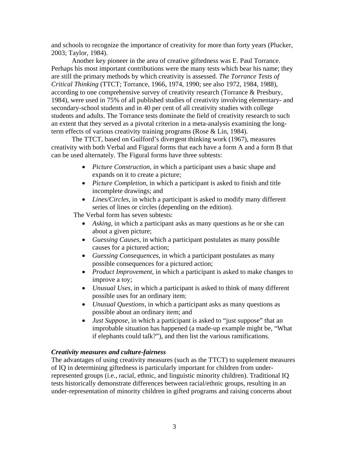and schools to recognize the importance of creativity for more than forty years (Plucker, 2003; Taylor, 1984).

Another key pioneer in the area of creative giftedness was E. Paul Torrance. Perhaps his most important contributions were the many tests which bear his name; they are still the primary methods by which creativity is assessed. *The Torrance Tests of Critical Thinking* (TTCT; Torrance, 1966, 1974, 1990; see also 1972, 1984, 1988), according to one comprehensive survey of creativity research (Torrance & Presbury, 1984), were used in 75% of all published studies of creativity involving elementary- and secondary-school students and in 40 per cent of all creativity studies with college students and adults. The Torrance tests dominate the field of creativity research to such an extent that they served as a pivotal criterion in a meta-analysis examining the longterm effects of various creativity training programs (Rose & Lin, 1984).

The TTCT, based on Guilford's divergent thinking work (1967), measures creativity with both Verbal and Figural forms that each have a form A and a form B that can be used alternately. The Figural forms have three subtests:

- *Picture Construction*, in which a participant uses a basic shape and expands on it to create a picture;
- *Picture Completion*, in which a participant is asked to finish and title incomplete drawings; and
- *Lines/Circles*, in which a participant is asked to modify many different series of lines or circles (depending on the edition).

The Verbal form has seven subtests:

- *Asking*, in which a participant asks as many questions as he or she can about a given picture;
- *Guessing Causes*, in which a participant postulates as many possible causes for a pictured action;
- *Guessing Consequences*, in which a participant postulates as many possible consequences for a pictured action;
- *Product Improvement*, in which a participant is asked to make changes to improve a toy;
- *Unusual Uses*, in which a participant is asked to think of many different possible uses for an ordinary item;
- *Unusual Questions*, in which a participant asks as many questions as possible about an ordinary item; and
- *Just Suppose*, in which a participant is asked to "just suppose" that an improbable situation has happened (a made-up example might be, "What if elephants could talk?"), and then list the various ramifications.

# *Creativity measures and culture-fairness*

The advantages of using creativity measures (such as the TTCT) to supplement measures of IQ in determining giftedness is particularly important for children from underrepresented groups (i.e., racial, ethnic, and linguistic minority children). Traditional IQ tests historically demonstrate differences between racial/ethnic groups, resulting in an under-representation of minority children in gifted programs and raising concerns about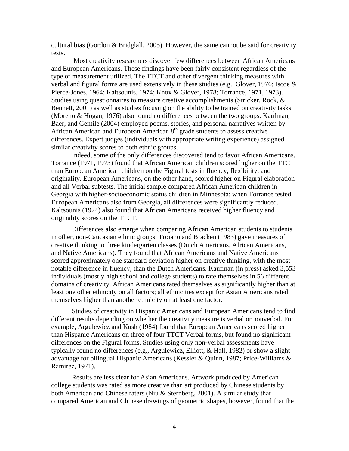cultural bias (Gordon  $\&$  Bridglall, 2005). However, the same cannot be said for creativity tests.

 Most creativity researchers discover few differences between African Americans and European Americans. These findings have been fairly consistent regardless of the type of measurement utilized. The TTCT and other divergent thinking measures with verbal and figural forms are used extensively in these studies (e.g., Glover, 1976; Iscoe & Pierce-Jones, 1964; Kaltsounis, 1974; Knox & Glover, 1978; Torrance, 1971, 1973). Studies using questionnaires to measure creative accomplishments (Stricker, Rock, & Bennett, 2001) as well as studies focusing on the ability to be trained on creativity tasks (Moreno & Hogan, 1976) also found no differences between the two groups. Kaufman, Baer, and Gentile (2004) employed poems, stories, and personal narratives written by African American and European American  $8<sup>th</sup>$  grade students to assess creative differences. Expert judges (individuals with appropriate writing experience) assigned similar creativity scores to both ethnic groups.

Indeed, some of the only differences discovered tend to favor African Americans. Torrance (1971, 1973) found that African American children scored higher on the TTCT than European American children on the Figural tests in fluency, flexibility, and originality. European Americans, on the other hand, scored higher on Figural elaboration and all Verbal subtests. The initial sample compared African American children in Georgia with higher-socioeconomic status children in Minnesota; when Torrance tested European Americans also from Georgia, all differences were significantly reduced. Kaltsounis (1974) also found that African Americans received higher fluency and originality scores on the TTCT.

Differences also emerge when comparing African American students to students in other, non-Caucasian ethnic groups. Troiano and Bracken (1983) gave measures of creative thinking to three kindergarten classes (Dutch Americans, African Americans, and Native Americans). They found that African Americans and Native Americans scored approximately one standard deviation higher on creative thinking, with the most notable difference in fluency, than the Dutch Americans. Kaufman (in press) asked 3,553 individuals (mostly high school and college students) to rate themselves in 56 different domains of creativity. African Americans rated themselves as significantly higher than at least one other ethnicity on all factors; all ethnicities except for Asian Americans rated themselves higher than another ethnicity on at least one factor.

Studies of creativity in Hispanic Americans and European Americans tend to find different results depending on whether the creativity measure is verbal or nonverbal. For example, Argulewicz and Kush (1984) found that European Americans scored higher than Hispanic Americans on three of four TTCT Verbal forms, but found no significant differences on the Figural forms. Studies using only non-verbal assessments have typically found no differences (e.g., Argulewicz, Elliott, & Hall, 1982) or show a slight advantage for bilingual Hispanic Americans (Kessler & Quinn, 1987; Price-Williams & Ramirez, 1971).

Results are less clear for Asian Americans. Artwork produced by American college students was rated as more creative than art produced by Chinese students by both American and Chinese raters (Niu & Sternberg, 2001). A similar study that compared American and Chinese drawings of geometric shapes, however, found that the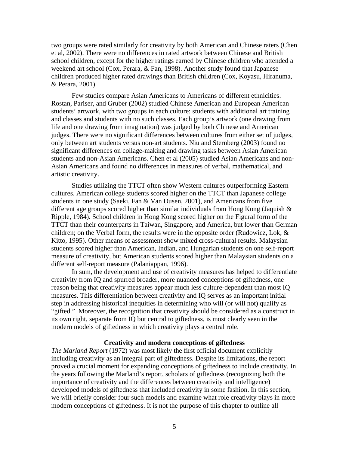two groups were rated similarly for creativity by both American and Chinese raters (Chen et al, 2002). There were no differences in rated artwork between Chinese and British school children, except for the higher ratings earned by Chinese children who attended a weekend art school (Cox, Perara, & Fan, 1998). Another study found that Japanese children produced higher rated drawings than British children (Cox, Koyasu, Hiranuma, & Perara, 2001).

Few studies compare Asian Americans to Americans of different ethnicities. Rostan, Pariser, and Gruber (2002) studied Chinese American and European American students' artwork, with two groups in each culture: students with additional art training and classes and students with no such classes. Each group's artwork (one drawing from life and one drawing from imagination) was judged by both Chinese and American judges. There were no significant differences between cultures from either set of judges, only between art students versus non-art students. Niu and Sternberg (2003) found no significant differences on collage-making and drawing tasks between Asian American students and non-Asian Americans. Chen et al (2005) studied Asian Americans and non-Asian Americans and found no differences in measures of verbal, mathematical, and artistic creativity.

Studies utilizing the TTCT often show Western cultures outperforming Eastern cultures. American college students scored higher on the TTCT than Japanese college students in one study (Saeki, Fan & Van Dusen, 2001), and Americans from five different age groups scored higher than similar individuals from Hong Kong (Jaquish  $\&$ Ripple, 1984). School children in Hong Kong scored higher on the Figural form of the TTCT than their counterparts in Taiwan, Singapore, and America, but lower than German children; on the Verbal form, the results were in the opposite order (Rudowicz, Lok, & Kitto, 1995). Other means of assessment show mixed cross-cultural results. Malaysian students scored higher than American, Indian, and Hungarian students on one self-report measure of creativity, but American students scored higher than Malaysian students on a different self-report measure (Palaniappan, 1996).

In sum, the development and use of creativity measures has helped to differentiate creativity from IQ and spurred broader, more nuanced conceptions of giftedness, one reason being that creativity measures appear much less culture-dependent than most IQ measures. This differentiation between creativity and IQ serves as an important initial step in addressing historical inequities in determining who will (or will not) qualify as "gifted." Moreover, the recognition that creativity should be considered as a construct in its own right, separate from IQ but central to giftedness, is most clearly seen in the modern models of giftedness in which creativity plays a central role.

### **Creativity and modern conceptions of giftedness**

*The Marland Report* (1972) was most likely the first official document explicitly including creativity as an integral part of giftedness. Despite its limitations, the report proved a crucial moment for expanding conceptions of giftedness to include creativity. In the years following the Marland's report, scholars of giftedness (recognizing both the importance of creativity and the differences between creativity and intelligence) developed models of giftedness that included creativity in some fashion. In this section, we will briefly consider four such models and examine what role creativity plays in more modern conceptions of giftedness. It is not the purpose of this chapter to outline all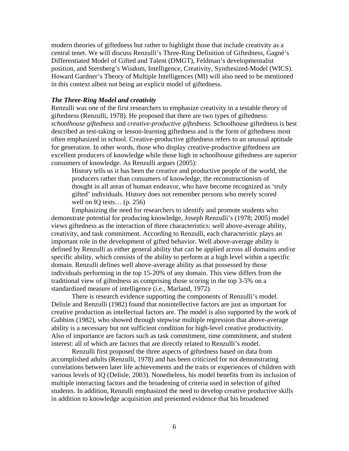modern theories of giftedness but rather to highlight those that include creativity as a central tenet. We will discuss Renzulli's Three-Ring Definition of Giftedness, Gagné's Differentiated Model of Gifted and Talent (DMGT), Feldman's developmentalist position, and Sternberg's Wisdom, Intelligence, Creativity, Synthesized-Model (WICS). Howard Gardner's Theory of Multiple Intelligences (MI) will also need to be mentioned in this context albeit not being an explicit model of giftedness.

#### *The Three-Ring Model and creativity*

Renzulli was one of the first researchers to emphasize creativity in a testable theory of giftedness (Renzulli, 1978). He proposed that there are two types of giftedness: *schoolhouse giftedness* and *creative-productive giftedness*. Schoolhouse giftedness is best described as test-taking or lesson-learning giftedness and is the form of giftedness most often emphasized in school. Creative-productive giftedness refers to an unusual aptitude for generation. In other words, those who display creative-productive giftedness are excellent producers of knowledge while those high in schoolhouse giftedness are superior consumers of knowledge. As Renzulli argues (2005):

 History tells us it has been the creative and productive people of the world, the producers rather than consumers of knowledge, the reconstructionists of thought in all areas of human endeavor, who have become recognized as 'truly gifted' individuals. History does not remember persons who merely scored well on IQ tests… (p. 256)

 Emphasizing the need for researchers to identify and promote students who demonstrate potential for producing knowledge, Joseph Renzulli's (1978; 2005) model views giftedness as the interaction of three characteristics: well above-average ability, creativity, and task commitment. According to Renzulli, each characteristic plays an important role in the development of gifted behavior. Well above-average ability is defined by Renzulli as either general ability that can be applied across all domains and/or specific ability, which consists of the ability to perform at a high level within a specific domain. Renzulli defines well above-average ability as that possessed by those individuals performing in the top 15-20% of any domain. This view differs from the traditional view of giftedness as comprising those scoring in the top 3-5% on a standardized measure of intelligence (i.e., Marland, 1972).

 There is research evidence supporting the components of Renzulli's model. Delisle and Renzulli (1982) found that nonintellective factors are just as important for creative production as intellectual factors are. The model is also supported by the work of Gubbins (1982), who showed through stepwise multiple regression that above-average ability is a necessary but not sufficient condition for high-level creative productivity. Also of importance are factors such as task commitment, time commitment, and student interest: all of which are factors that are directly related to Renzulli's model.

 Renzulli first proposed the three aspects of giftedness based on data from accomplished adults (Renzulli, 1978) and has been criticized for not demonstrating correlations between later life achievements and the traits or experiences of children with various levels of IQ (Delisle, 2003). Nonetheless, his model benefits from its inclusion of multiple interacting factors and the broadening of criteria used in selection of gifted students. In addition, Renzulli emphasized the need to develop creative productive skills in addition to knowledge acquisition and presented evidence that his broadened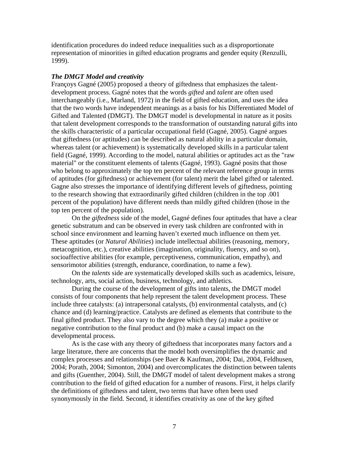identification procedures do indeed reduce inequalities such as a disproportionate representation of minorities in gifted education programs and gender equity (Renzulli, 1999).

# *The DMGT Model and creativity*

Françoys Gagné (2005) proposed a theory of giftedness that emphasizes the talentdevelopment process. Gagné notes that the words *gifted* and *talent* are often used interchangeably (i.e., Marland, 1972) in the field of gifted education, and uses the idea that the two words have independent meanings as a basis for his Differentiated Model of Gifted and Talented (DMGT). The DMGT model is developmental in nature as it posits that talent development corresponds to the transformation of outstanding natural gifts into the skills characteristic of a particular occupational field (Gagné, 2005). Gagné argues that giftedness (or aptitudes) can be described as natural ability in a particular domain, whereas talent (or achievement) is systematically developed skills in a particular talent field (Gagné, 1999). According to the model, natural abilities or aptitudes act as the "raw material" or the constituent elements of talents (Gagné, 1993). Gagné posits that those who belong to approximately the top ten percent of the relevant reference group in terms of aptitudes (for giftedness) or achievement (for talent) merit the label gifted or talented. Gagne also stresses the importance of identifying different levels of giftedness, pointing to the research showing that extraordinarily gifted children (children in the top .001 percent of the population) have different needs than mildly gifted children (those in the top ten percent of the population).

 On the *giftedness* side of the model, Gagné defines four aptitudes that have a clear genetic substratum and can be observed in every task children are confronted with in school since environment and learning haven't exerted much influence on them yet. These aptitudes (or *Natural Abilities*) include intellectual abilities (reasoning, memory, metacognition, etc.), creative abilities (imagination, originality, fluency, and so on), socioaffective abilities (for example, perceptiveness, communication, empathy), and sensorimotor abilities (strength, endurance, coordination, to name a few).

 On the *talents* side are systematically developed skills such as academics, leisure, technology, arts, social action, business, technology, and athletics.

 During the course of the development of gifts into talents, the DMGT model consists of four components that help represent the talent development process. These include three catalysts: (a) intrapersonal catalysts, (b) environmental catalysts, and (c) chance and (d) learning/practice. Catalysts are defined as elements that contribute to the final gifted product. They also vary to the degree which they (a) make a positive or negative contribution to the final product and (b) make a causal impact on the developmental process.

 As is the case with any theory of giftedness that incorporates many factors and a large literature, there are concerns that the model both oversimplifies the dynamic and complex processes and relationships (see Baer & Kaufman, 2004; Dai, 2004, Feldhusen, 2004; Porath, 2004; Simonton, 2004) and overcomplicates the distinction between talents and gifts (Guenther, 2004). Still, the DMGT model of talent development makes a strong contribution to the field of gifted education for a number of reasons. First, it helps clarify the definitions of giftedness and talent, two terms that have often been used synonymously in the field. Second, it identifies creativity as one of the key gifted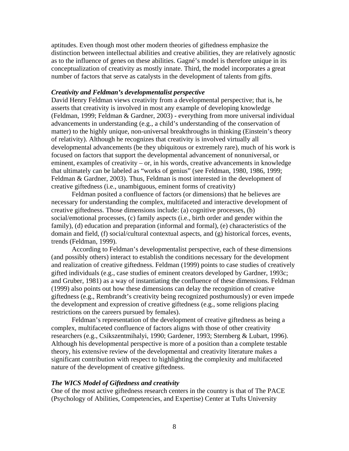aptitudes. Even though most other modern theories of giftedness emphasize the distinction between intellectual abilities and creative abilities, they are relatively agnostic as to the influence of genes on these abilities. Gagné's model is therefore unique in its conceptualization of creativity as mostly innate. Third, the model incorporates a great number of factors that serve as catalysts in the development of talents from gifts.

# *Creativity and Feldman's developmentalist perspective*

David Henry Feldman views creativity from a developmental perspective; that is, he asserts that creativity is involved in most any example of developing knowledge (Feldman, 1999; Feldman & Gardner, 2003) - everything from more universal individual advancements in understanding (e.g., a child's understanding of the conservation of matter) to the highly unique, non-universal breakthroughs in thinking (Einstein's theory of relativity). Although he recognizes that creativity is involved virtually all developmental advancements (be they ubiquitous or extremely rare), much of his work is focused on factors that support the developmental advancement of nonuniversal, or eminent, examples of creativity – or, in his words, creative advancements in knowledge that ultimately can be labeled as "works of genius" (see Feldman, 1980, 1986, 1999; Feldman & Gardner, 2003). Thus, Feldman is most interested in the development of creative giftedness (i.e., unambiguous, eminent forms of creativity)

Feldman posited a confluence of factors (or dimensions) that he believes are necessary for understanding the complex, multifaceted and interactive development of creative giftedness. Those dimensions include: (a) cognitive processes, (b) social/emotional processes, (c) family aspects (i.e., birth order and gender within the family), (d) education and preparation (informal and formal), (e) characteristics of the domain and field, (f) social/cultural contextual aspects, and (g) historical forces, events, trends (Feldman, 1999).

According to Feldman's developmentalist perspective, each of these dimensions (and possibly others) interact to establish the conditions necessary for the development and realization of creative giftedness. Feldman (1999) points to case studies of creatively gifted individuals (e.g., case studies of eminent creators developed by Gardner, 1993c; and Gruber, 1981) as a way of instantiating the confluence of these dimensions. Feldman (1999) also points out how these dimensions can delay the recognition of creative giftedness (e.g., Rembrandt's creativity being recognized posthumously) or even impede the development and expression of creative giftedness (e.g., some religions placing restrictions on the careers pursued by females).

 Feldman's representation of the development of creative giftedness as being a complex, multifaceted confluence of factors aligns with those of other creativity researchers (e.g., Csikszentmihalyi, 1990; Gardener, 1993; Sternberg & Lubart, 1996). Although his developmental perspective is more of a position than a complete testable theory, his extensive review of the developmental and creativity literature makes a significant contribution with respect to highlighting the complexity and multifaceted nature of the development of creative giftedness.

# *The WICS Model of Giftedness and creativity*

One of the most active giftedness research centers in the country is that of The PACE (Psychology of Abilities, Competencies, and Expertise) Center at Tufts University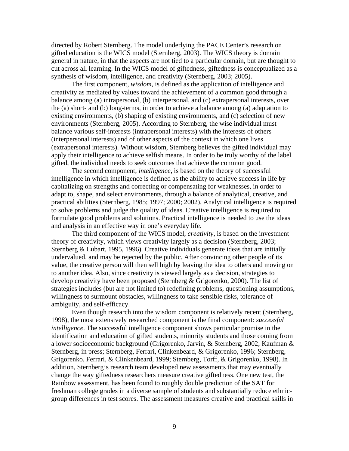directed by Robert Sternberg. The model underlying the PACE Center's research on gifted education is the WICS model (Sternberg, 2003). The WICS theory is domain general in nature, in that the aspects are not tied to a particular domain, but are thought to cut across all learning. In the WICS model of giftedness, giftedness is conceptualized as a synthesis of wisdom, intelligence, and creativity (Sternberg, 2003; 2005).

The first component, *wisdom*, is defined as the application of intelligence and creativity as mediated by values toward the achievement of a common good through a balance among (a) intrapersonal, (b) interpersonal, and (c) extrapersonal interests, over the (a) short- and (b) long-terms, in order to achieve a balance among (a) adaptation to existing environments, (b) shaping of existing environments, and (c) selection of new environments (Sternberg, 2005). According to Sternberg, the wise individual must balance various self-interests (intrapersonal interests) with the interests of others (interpersonal interests) and of other aspects of the context in which one lives (extrapersonal interests). Without wisdom, Sternberg believes the gifted individual may apply their intelligence to achieve selfish means. In order to be truly worthy of the label gifted, the individual needs to seek outcomes that achieve the common good.

The second component, *intelligence,* is based on the theory of successful intelligence in which intelligence is defined as the ability to achieve success in life by capitalizing on strengths and correcting or compensating for weaknesses, in order to adapt to, shape, and select environments, through a balance of analytical, creative, and practical abilities (Sternberg, 1985; 1997; 2000; 2002). Analytical intelligence is required to solve problems and judge the quality of ideas. Creative intelligence is required to formulate good problems and solutions. Practical intelligence is needed to use the ideas and analysis in an effective way in one's everyday life.

 The third component of the WICS model, *creativity*, is based on the investment theory of creativity, which views creativity largely as a decision (Sternberg, 2003; Sternberg & Lubart, 1995, 1996). Creative individuals generate ideas that are initially undervalued, and may be rejected by the public. After convincing other people of its value, the creative person will then sell high by leaving the idea to others and moving on to another idea. Also, since creativity is viewed largely as a decision, strategies to develop creativity have been proposed (Sternberg & Grigorenko, 2000). The list of strategies includes (but are not limited to) redefining problems, questioning assumptions, willingness to surmount obstacles, willingness to take sensible risks, tolerance of ambiguity, and self-efficacy.

 Even though research into the wisdom component is relatively recent (Sternberg, 1998), the most extensively researched component is the final component: *successful intelligence*. The successful intelligence component shows particular promise in the identification and education of gifted students, minority students and those coming from a lower socioeconomic background (Grigorenko, Jarvin, & Sternberg, 2002; Kaufman & Sternberg, in press; Sternberg, Ferrari, Clinkenbeard, & Grigorenko, 1996; Sternberg, Grigorenko, Ferrari, & Clinkenbeard, 1999; Sternberg, Torff, & Grigorenko, 1998). In addition, Sternberg's research team developed new assessments that may eventually change the way giftedness researchers measure creative giftedness. One new test, the Rainbow assessment, has been found to roughly double prediction of the SAT for freshman college grades in a diverse sample of students and substantially reduce ethnicgroup differences in test scores. The assessment measures creative and practical skills in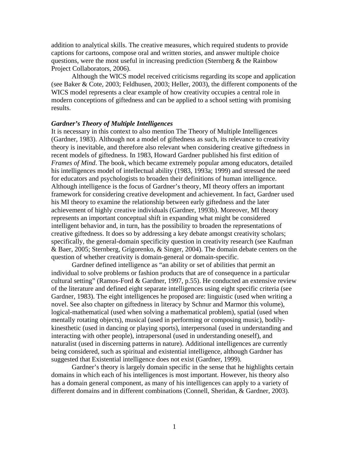addition to analytical skills. The creative measures, which required students to provide captions for cartoons, compose oral and written stories, and answer multiple choice questions, were the most useful in increasing prediction (Sternberg  $\&$  the Rainbow Project Collaborators, 2006).

Although the WICS model received criticisms regarding its scope and application (see Baker & Cote, 2003; Feldhusen, 2003; Heller, 2003), the different components of the WICS model represents a clear example of how creativity occupies a central role in modern conceptions of giftedness and can be applied to a school setting with promising results.

### *Gardner's Theory of Multiple Intelligences*

It is necessary in this context to also mention The Theory of Multiple Intelligences (Gardner, 1983). Although not a model of giftedness as such, its relevance to creativity theory is inevitable, and therefore also relevant when considering creative giftedness in recent models of giftedness. In 1983, Howard Gardner published his first edition of *Frames of Mind*. The book, which became extremely popular among educators, detailed his intelligences model of intellectual ability (1983, 1993a; 1999) and stressed the need for educators and psychologists to broaden their definitions of human intelligence. Although intelligence is the focus of Gardner's theory, MI theory offers an important framework for considering creative development and achievement. In fact, Gardner used his MI theory to examine the relationship between early giftedness and the later achievement of highly creative individuals (Gardner, 1993b). Moreover, MI theory represents an important conceptual shift in expanding what might be considered intelligent behavior and, in turn, has the possibility to broaden the representations of creative giftedness. It does so by addressing a key debate amongst creativity scholars; specifically, the general-domain specificity question in creativity research (see Kaufman & Baer, 2005; Sternberg, Grigorenko, & Singer, 2004). The domain debate centers on the question of whether creativity is domain-general or domain-specific.

Gardner defined intelligence as "an ability or set of abilities that permit an individual to solve problems or fashion products that are of consequence in a particular cultural setting" (Ramos-Ford & Gardner, 1997, p.55). He conducted an extensive review of the literature and defined eight separate intelligences using eight specific criteria (see Gardner, 1983). The eight intelligences he proposed are: linguistic (used when writing a novel. See also chapter on giftedness in literacy by Schnur and Marmor this volume), logical-mathematical (used when solving a mathematical problem), spatial (used when mentally rotating objects), musical (used in performing or composing music), bodilykinesthetic (used in dancing or playing sports), interpersonal (used in understanding and interacting with other people), intrapersonal (used in understanding oneself), and naturalist (used in discerning patterns in nature). Additional intelligences are currently being considered, such as spiritual and existential intelligence, although Gardner has suggested that Existential intelligence does not exist (Gardner, 1999).

Gardner's theory is largely domain specific in the sense that he highlights certain domains in which each of his intelligences is most important. However, his theory also has a domain general component, as many of his intelligences can apply to a variety of different domains and in different combinations (Connell, Sheridan, & Gardner, 2003).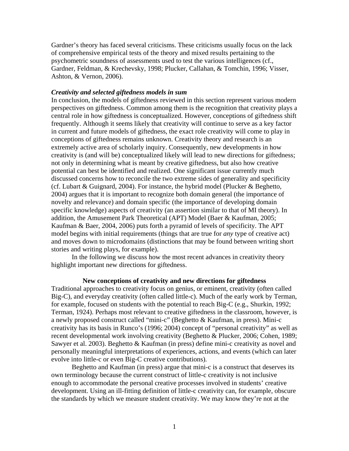Gardner's theory has faced several criticisms. These criticisms usually focus on the lack of comprehensive empirical tests of the theory and mixed results pertaining to the psychometric soundness of assessments used to test the various intelligences (cf., Gardner, Feldman, & Krechevsky, 1998; Plucker, Callahan, & Tomchin, 1996; Visser, Ashton, & Vernon, 2006).

# *Creativity and selected giftedness models in sum*

In conclusion, the models of giftedness reviewed in this section represent various modern perspectives on giftedness. Common among them is the recognition that creativity plays a central role in how giftedness is conceptualized. However, conceptions of giftedness shift frequently. Although it seems likely that creativity will continue to serve as a key factor in current and future models of giftedness, the exact role creativity will come to play in conceptions of giftedness remains unknown. Creativity theory and research is an extremely active area of scholarly inquiry. Consequently, new developments in how creativity is (and will be) conceptualized likely will lead to new directions for giftedness; not only in determining what is meant by creative giftedness, but also how creative potential can best be identified and realized. One significant issue currently much discussed concerns how to reconcile the two extreme sides of generality and specificity (cf. Lubart & Guignard, 2004). For instance, the hybrid model (Plucker & Beghetto, 2004) argues that it is important to recognize both domain general (the importance of novelty and relevance) and domain specific (the importance of developing domain specific knowledge) aspects of creativity (an assertion similar to that of MI theory). In addition, the Amusement Park Theoretical (APT) Model (Baer & Kaufman, 2005; Kaufman & Baer, 2004, 2006) puts forth a pyramid of levels of specificity. The APT model begins with initial requirements (things that are true for *any* type of creative act) and moves down to microdomains (distinctions that may be found between writing short stories and writing plays, for example).

In the following we discuss how the most recent advances in creativity theory highlight important new directions for giftedness.

**New conceptions of creativity and new directions for giftedness**  Traditional approaches to creativity focus on genius, or eminent, creativity (often called Big-C), and everyday creativity (often called little-c). Much of the early work by Terman, for example, focused on students with the potential to reach Big-C (e.g., Shurkin, 1992; Terman, 1924). Perhaps most relevant to creative giftedness in the classroom, however, is a newly proposed construct called "mini-c" (Beghetto & Kaufman, in press). Mini-c creativity has its basis in Runco's (1996; 2004) concept of "personal creativity" as well as recent developmental work involving creativity (Beghetto & Plucker, 2006; Cohen, 1989; Sawyer et al. 2003). Beghetto & Kaufman (in press) define mini-c creativity as novel and personally meaningful interpretations of experiences, actions, and events (which can later evolve into little-c or even Big-C creative contributions)*.* 

Beghetto and Kaufman (in press) argue that mini-c is a construct that deserves its own terminology because the current construct of little-c creativity is not inclusive enough to accommodate the personal creative processes involved in students' creative development. Using an ill-fitting definition of little-c creativity can, for example, obscure the standards by which we measure student creativity. We may know they're not at the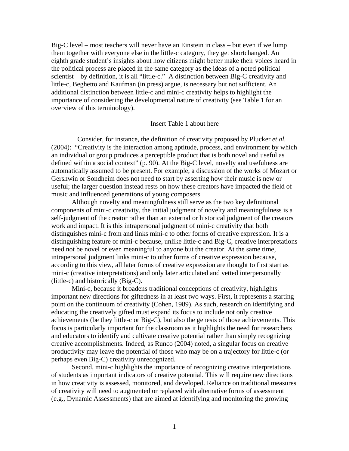Big-C level – most teachers will never have an Einstein in class – but even if we lump them together with everyone else in the little-c category, they get shortchanged. An eighth grade student's insights about how citizens might better make their voices heard in the political process are placed in the same category as the ideas of a noted political scientist – by definition, it is all "little-c." A distinction between Big-C creativity and little-c, Beghetto and Kaufman (in press) argue, is necessary but not sufficient. An additional distinction between little-c and mini-c creativity helps to highlight the importance of considering the developmental nature of creativity (see Table 1 for an overview of this terminology).

# Insert Table 1 about here

 Consider, for instance, the definition of creativity proposed by Plucker *et al.* (2004): "Creativity is the interaction among aptitude, process, and environment by which an individual or group produces a perceptible product that is both novel and useful as defined within a social context" (p. 90). At the Big-C level, novelty and usefulness are automatically assumed to be present. For example, a discussion of the works of Mozart or Gershwin or Sondheim does not need to start by asserting how their music is new or useful; the larger question instead rests on how these creators have impacted the field of music and influenced generations of young composers.

Although novelty and meaningfulness still serve as the two key definitional components of mini-c creativity, the initial judgment of novelty and meaningfulness is a self-judgment of the creator rather than an external or historical judgment of the creators work and impact. It is this intrapersonal judgment of mini-c creativity that both distinguishes mini-c from and links mini-c to other forms of creative expression. It is a distinguishing feature of mini-c because, unlike little-c and Big-C, creative interpretations need not be novel or even meaningful to anyone but the creator. At the same time, intrapersonal judgment links mini-c to other forms of creative expression because, according to this view, all later forms of creative expression are thought to first start as mini-c (creative interpretations) and only later articulated and vetted interpersonally (little-c) and historically (Big-C).

Mini-c, because it broadens traditional conceptions of creativity, highlights important new directions for giftedness in at least two ways. First, it represents a starting point on the continuum of creativity (Cohen, 1989). As such, research on identifying and educating the creatively gifted must expand its focus to include not only creative achievements (be they little-c or Big-C), but also the genesis of those achievements. This focus is particularly important for the classroom as it highlights the need for researchers and educators to identify and cultivate creative potential rather than simply recognizing creative accomplishments. Indeed, as Runco (2004) noted, a singular focus on creative productivity may leave the potential of those who may be on a trajectory for little-c (or perhaps even Big-C) creativity unrecognized.

Second, mini-c highlights the importance of recognizing creative interpretations of students as important indicators of creative potential. This will require new directions in how creativity is assessed, monitored, and developed. Reliance on traditional measures of creativity will need to augmented or replaced with alternative forms of assessment (e.g., Dynamic Assessments) that are aimed at identifying and monitoring the growing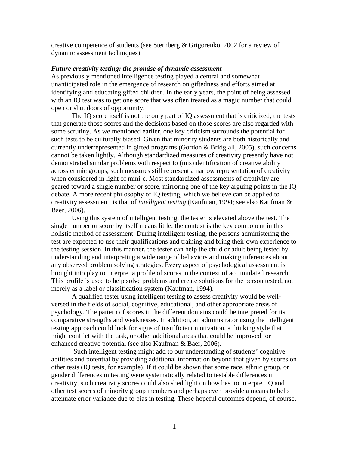creative competence of students (see Sternberg & Grigorenko, 2002 for a review of dynamic assessment techniques).

# *Future creativity testing: the promise of dynamic assessment*

As previously mentioned intelligence testing played a central and somewhat unanticipated role in the emergence of research on giftedness and efforts aimed at identifying and educating gifted children. In the early years, the point of being assessed with an IQ test was to get one score that was often treated as a magic number that could open or shut doors of opportunity.

The IQ score itself is not the only part of IQ assessment that is criticized; the tests that generate those scores and the decisions based on those scores are also regarded with some scrutiny. As we mentioned earlier, one key criticism surrounds the potential for such tests to be culturally biased. Given that minority students are both historically and currently underrepresented in gifted programs (Gordon & Bridglall, 2005), such concerns cannot be taken lightly. Although standardized measures of creativity presently have not demonstrated similar problems with respect to (mis)identification of creative ability across ethnic groups, such measures still represent a narrow representation of creativity when considered in light of mini-c. Most standardized assessments of creativity are geared toward a single number or score, mirroring one of the key arguing points in the IQ debate. A more recent philosophy of IQ testing, which we believe can be applied to creativity assessment, is that of *intelligent testing* (Kaufman, 1994; see also Kaufman & Baer, 2006).

 Using this system of intelligent testing, the tester is elevated above the test. The single number or score by itself means little; the context is the key component in this holistic method of assessment. During intelligent testing, the persons administering the test are expected to use their qualifications and training and bring their own experience to the testing session. In this manner, the tester can help the child or adult being tested by understanding and interpreting a wide range of behaviors and making inferences about any observed problem solving strategies. Every aspect of psychological assessment is brought into play to interpret a profile of scores in the context of accumulated research. This profile is used to help solve problems and create solutions for the person tested, not merely as a label or classification system (Kaufman, 1994).

 A qualified tester using intelligent testing to assess creativity would be wellversed in the fields of social, cognitive, educational, and other appropriate areas of psychology. The pattern of scores in the different domains could be interpreted for its comparative strengths and weaknesses. In addition, an administrator using the intelligent testing approach could look for signs of insufficient motivation, a thinking style that might conflict with the task, or other additional areas that could be improved for enhanced creative potential (see also Kaufman & Baer, 2006).

 Such intelligent testing might add to our understanding of students' cognitive abilities and potential by providing additional information beyond that given by scores on other tests (IQ tests, for example). If it could be shown that some race, ethnic group, or gender differences in testing were systematically related to testable differences in creativity, such creativity scores could also shed light on how best to interpret IQ and other test scores of minority group members and perhaps even provide a means to help attenuate error variance due to bias in testing. These hopeful outcomes depend, of course,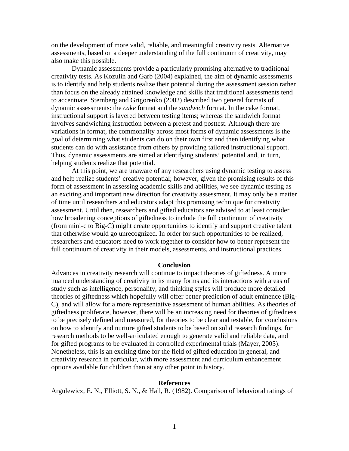on the development of more valid, reliable, and meaningful creativity tests. Alternative assessments, based on a deeper understanding of the full continuum of creativity, may also make this possible.

Dynamic assessments provide a particularly promising alternative to traditional creativity tests. As Kozulin and Garb (2004) explained, the aim of dynamic assessments is to identify and help students realize their potential during the assessment session rather than focus on the already attained knowledge and skills that traditional assessments tend to accentuate. Sternberg and Grigorenko (2002) described two general formats of dynamic assessments: the *cake* format and the *sandwich* format. In the cake format, instructional support is layered between testing items; whereas the sandwich format involves sandwiching instruction between a pretest and posttest. Although there are variations in format, the commonality across most forms of dynamic assessments is the goal of determining what students can do on their own first and then identifying what students can do with assistance from others by providing tailored instructional support. Thus, dynamic assessments are aimed at identifying students' potential and, in turn, helping students realize that potential.

At this point, we are unaware of any researchers using dynamic testing to assess and help realize students' creative potential; however, given the promising results of this form of assessment in assessing academic skills and abilities, we see dynamic testing as an exciting and important new direction for creativity assessment. It may only be a matter of time until researchers and educators adapt this promising technique for creativity assessment. Until then, researchers and gifted educators are advised to at least consider how broadening conceptions of giftedness to include the full continuum of creativity (from mini-c to Big-C) might create opportunities to identify and support creative talent that otherwise would go unrecognized. In order for such opportunities to be realized, researchers and educators need to work together to consider how to better represent the full continuum of creativity in their models, assessments, and instructional practices.

#### **Conclusion**

Advances in creativity research will continue to impact theories of giftedness. A more nuanced understanding of creativity in its many forms and its interactions with areas of study such as intelligence, personality, and thinking styles will produce more detailed theories of giftedness which hopefully will offer better prediction of adult eminence (Big-C), and will allow for a more representative assessment of human abilities. As theories of giftedness proliferate, however, there will be an increasing need for theories of giftedness to be precisely defined and measured, for theories to be clear and testable, for conclusions on how to identify and nurture gifted students to be based on solid research findings, for research methods to be well-articulated enough to generate valid and reliable data, and for gifted programs to be evaluated in controlled experimental trials (Mayer, 2005). Nonetheless, this is an exciting time for the field of gifted education in general, and creativity research in particular, with more assessment and curriculum enhancement options available for children than at any other point in history.

#### **References**

Argulewicz, E. N., Elliott, S. N., & Hall, R. (1982). Comparison of behavioral ratings of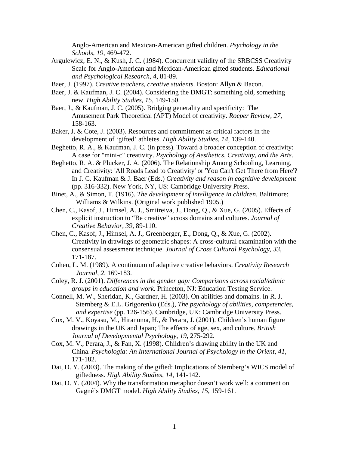Anglo-American and Mexican-American gifted children. *Psychology in the Schools*, *19*, 469-472.

- Argulewicz, E. N., & Kush, J. C. (1984). Concurrent validity of the SRBCSS Creativity Scale for Anglo-American and Mexican-American gifted students. *Educational and Psychological Research*, *4*, 81-89.
- Baer, J. (1997). *Creative teachers, creative students*. Boston: Allyn & Bacon.
- Baer, J. & Kaufman, J. C. (2004). Considering the DMGT: something old, something new. *High Ability Studies, 15*, 149-150.
- Baer, J., & Kaufman, J. C. (2005). Bridging generality and specificity: The Amusement Park Theoretical (APT) Model of creativity. *Roeper Review, 27*, 158-163.
- Baker, J. & Cote, J. (2003). Resources and commitment as critical factors in the development of 'gifted' athletes. *High Ability Studies, 14*, 139-140.
- Beghetto, R. A., & Kaufman, J. C. (in press). Toward a broader conception of creativity: A case for "mini-c" creativity. *Psychology of Aesthetics, Creativity, and the Arts*.
- Beghetto, R. A. & Plucker, J. A. (2006). The Relationship Among Schooling, Learning, and Creativity: 'All Roads Lead to Creativity' or 'You Can't Get There from Here'? In J. C. Kaufman & J. Baer (Eds.) *Creativity and reason in cognitive development* (pp. 316-332). New York, NY, US: Cambridge University Press.
- Binet, A., & Simon, T. (1916). *The development of intelligence in children*. Baltimore: Williams & Wilkins. (Original work published 1905.)
- Chen, C., Kasof, J., Himsel, A. J., Smitreiva, J., Dong, Q., & Xue, G. (2005). Effects of explicit instruction to "Be creative" across domains and cultures. *Journal of Creative Behavior, 39,* 89-110.
- Chen, C., Kasof, J., Himsel, A. J., Greenberger, E., Dong, Q., & Xue, G. (2002). Creativity in drawings of geometric shapes: A cross-cultural examination with the consensual assessment technique. *Journal of Cross Cultural Psychology*, *33*, 171-187.
- Cohen, L. M. (1989). A continuum of adaptive creative behaviors. *Creativity Research Journal, 2,* 169-183.
- Coley, R. J. (2001). *Differences in the gender gap: Comparisons across racial/ethnic groups in education and work*. Princeton, NJ: Education Testing Service.
- Connell, M. W., Sheridan, K., Gardner, H. (2003). On abilities and domains. In R. J. Sternberg & E.L. Grigorenko (Eds.), *The psychology of abilities, competencies, and expertise* (pp. 126-156). Cambridge, UK: Cambridge University Press.
- Cox, M. V., Koyasu, M., Hiranuma, H., & Perara, J. (2001). Children's human figure drawings in the UK and Japan; The effects of age, sex, and culture. *British Journal of Developmental Psychology*, *19*, 275-292.
- Cox, M. V., Perara, J., & Fan, X. (1998). Children's drawing ability in the UK and China. *Psychologia: An International Journal of Psychology in the Orient*, *41*, 171-182.
- Dai, D. Y. (2003). The making of the gifted: Implications of Sternberg's WICS model of giftedness. *High Ability Studies, 14*, 141-142.
- Dai, D. Y. (2004). Why the transformation metaphor doesn't work well: a comment on Gagné's DMGT model. *High Ability Studies, 15*, 159-161.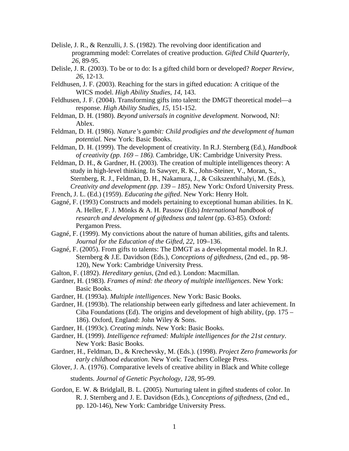- Delisle, J. R., & Renzulli, J. S. (1982). The revolving door identification and programming model: Correlates of creative production. *Gifted Child Quarterly, 26*, 89-95.
- Delisle, J. R. (2003). To be or to do: Is a gifted child born or developed? *Roeper Review, 26*, 12-13.
- Feldhusen, J. F. (2003). Reaching for the stars in gifted education: A critique of the WICS model. *High Ability Studies, 14*, 143.
- Feldhusen, J. F. (2004). Transforming gifts into talent: the DMGT theoretical model—a response. *High Ability Studies, 15*, 151-152.
- Feldman, D. H. (1980). *Beyond universals in cognitive development.* Norwood, NJ: Ablex.
- Feldman, D. H. (1986). *Nature's gambit: Child prodigies and the development of human potential.* New York: Basic Books.
- Feldman, D. H. (1999). The development of creativity. In R.J. Sternberg (Ed.), *Handbook of creativity (pp. 169 – 186).* Cambridge, UK: Cambridge University Press.
- Feldman, D. H., & Gardner, H. (2003). The creation of multiple intelligences theory: A study in high-level thinking. In Sawyer, R. K., John-Steiner, V., Moran, S., Sternberg, R. J., Feldman, D. H., Nakamura, J., & Csikszenthihalyi, M. (Eds.), *Creativity and development (pp. 139 – 185).* New York: Oxford University Press.
- French, J. L. (Ed.) (1959). *Educating the gifted*. New York: Henry Holt.
- Gagné, F. (1993) Constructs and models pertaining to exceptional human abilities. In K. A. Heller, F. J. Mönks & A. H. Passow (Eds) *International handbook of research and development of giftedness and talent* (pp. 63-85)*.* Oxford: Pergamon Press.
- Gagné, F. (1999). My convictions about the nature of human abilities, gifts and talents. *Journal for the Education of the Gifted, 22*, 109–136.
- Gagné, F. (2005). From gifts to talents: The DMGT as a developmental model. In R.J. Sternberg & J.E. Davidson (Eds.), *Conceptions of giftedness*, (2nd ed., pp. 98- 120), New York: Cambridge University Press.
- Galton, F. (1892). *Hereditary genius*, (2nd ed.). London: Macmillan.
- Gardner, H. (1983). *Frames of mind: the theory of multiple intelligences*. New York: Basic Books.
- Gardner, H. (1993a). *Multiple intelligences*. New York: Basic Books.
- Gardner, H. (1993b). The relationship between early giftedness and later achievement. In Ciba Foundations (Ed). The origins and development of high ability, (pp. 175 – 186). Oxford, England: John Wiley & Sons.
- Gardner, H. (1993c). *Creating minds.* New York: Basic Books.
- Gardner, H. (1999). *Intelligence reframed: Multiple intelligences for the 21st century*. New York: Basic Books.
- Gardner, H., Feldman, D., & Krechevsky, M. (Eds.). (1998). *Project Zero frameworks for early childhood education*. New York: Teachers College Press.
- Glover, J. A. (1976). Comparative levels of creative ability in Black and White college students. *Journal of Genetic Psychology, 128*, 95-99.
- Gordon, E. W. & Bridglall, B. L. (2005). Nurturing talent in gifted students of color. In R. J. Sternberg and J. E. Davidson (Eds.), *Conceptions of giftedness,* (2nd ed., pp. 120-146), New York: Cambridge University Press.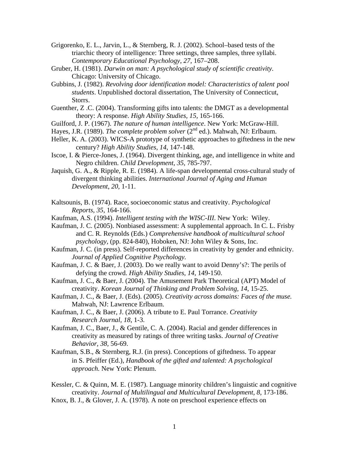- Grigorenko, E. L., Jarvin, L., & Sternberg, R. J. (2002). School–based tests of the triarchic theory of intelligence: Three settings, three samples, three syllabi. *Contemporary Educational Psychology*, *27,* 167–208.
- Gruber, H. (1981). *Darwin on man: A psychological study of scientific creativity.*  Chicago: University of Chicago.
- Gubbins, J. (1982). *Revolving door identification model: Characteristics of talent pool students*. Unpublished doctoral dissertation, The University of Connecticut, Storrs.
- Guenther, Z .C. (2004). Transforming gifts into talents: the DMGT as a developmental theory: A response. *High Ability Studies, 15*, 165-166.
- Guilford, J. P. (1967). *The nature of human intelligence*. New York: McGraw-Hill.
- Hayes, J.R. (1989). *The complete problem solver* (2<sup>nd</sup> ed.). Mahwah, NJ: Erlbaum.
- Heller, K. A. (2003). WICS-A prototype of synthetic approaches to giftedness in the new century? *High Ability Studies, 14*, 147-148.
- Iscoe, I. & Pierce-Jones, J. (1964). Divergent thinking, age, and intelligence in white and Negro children. *Child Development, 35,* 785-797.
- Jaquish, G. A., & Ripple, R. E. (1984). A life-span developmental cross-cultural study of divergent thinking abilities. *International Journal of Aging and Human Development*, *20*, 1-11.
- Kaltsounis, B. (1974). Race, socioeconomic status and creativity. *Psychological Reports*, *35*, 164-166.
- Kaufman, A.S. (1994). *Intelligent testing with the WISC-III*. New York: Wiley.
- Kaufman, J. C. (2005). Nonbiased assessment: A supplemental approach. In C. L. Frisby and C. R. Reynolds (Eds.) *Comprehensive handbook of multicultural school psychology,* (pp. 824-840), Hoboken, NJ: John Wiley & Sons, Inc.
- Kaufman, J. C. (in press). Self-reported differences in creativity by gender and ethnicity. *Journal of Applied Cognitive Psychology.*
- Kaufman, J. C. & Baer, J. (2003). Do we really want to avoid Denny's?: The perils of defying the crowd. *High Ability Studies, 14*, 149-150.
- Kaufman, J. C., & Baer, J. (2004). The Amusement Park Theoretical (APT) Model of creativity. *Korean Journal of Thinking and Problem Solving, 14*, 15-25.
- Kaufman, J. C., & Baer, J. (Eds). (2005). *Creativity across domains: Faces of the muse.*  Mahwah, NJ: Lawrence Erlbaum.
- Kaufman, J. C., & Baer, J. (2006). A tribute to E. Paul Torrance. *Creativity Research Journal, 18*, 1-3.
- Kaufman, J. C., Baer, J., & Gentile, C. A. (2004). Racial and gender differences in creativity as measured by ratings of three writing tasks. *Journal of Creative Behavior, 38,* 56-69.
- Kaufman, S.B., & Sternberg, R.J. (in press). Conceptions of giftedness. To appear in S. Pfeiffer (Ed.), *Handbook of the gifted and talented: A psychological approach.* New York: Plenum.
- Kessler, C. & Quinn, M. E. (1987). Language minority children's linguistic and cognitive creativity. *Journal of Multilingual and Multicultural Development, 8,* 173-186.
- Knox, B. J., & Glover, J. A. (1978). A note on preschool experience effects on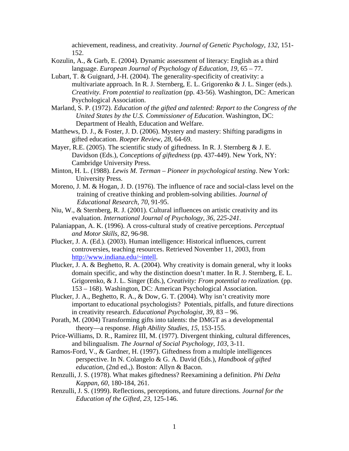achievement, readiness, and creativity. *Journal of Genetic Psychology*, *132*, 151- 152.

- Kozulin, A., & Garb, E. (2004). Dynamic assessment of literacy: English as a third language. *European Journal of Psychology of Education, 19, 65 – 77.*
- Lubart, T. & Guignard, J-H. (2004). The generality-specificity of creativity: a multivariate approach. In R. J. Sternberg, E. L. Grigorenko & J. L. Singer (eds.). *Creativity. From potential to realization* (pp. 43-56). Washington, DC: American Psychological Association.
- Marland, S. P. (1972). *Education of the gifted and talented: Report to the Congress of the United States by the U.S. Commissioner of Education*. Washington, DC: Department of Health, Education and Welfare.
- Matthews, D. J., & Foster, J. D. (2006). Mystery and mastery: Shifting paradigms in gifted education. *Roeper Review, 28,* 64-69.
- Mayer, R.E. (2005). The scientific study of giftedness. In R. J. Sternberg & J. E. Davidson (Eds.), *Conceptions of giftedness* (pp. 437-449). New York, NY: Cambridge University Press.
- Minton, H. L. (1988). *Lewis M. Terman Pioneer in psychological testing*. New York: University Press.
- Moreno, J. M. & Hogan, J. D. (1976). The influence of race and social-class level on the training of creative thinking and problem-solving abilities. *Journal of Educational Research, 70,* 91-95.
- Niu, W., & Sternberg, R. J. (2001). Cultural influences on artistic creativity and its evaluation. *International Journal of Psychology, 36, 225-241.*
- Palaniappan, A. K. (1996). A cross-cultural study of creative perceptions. *Perceptual and Motor Skills, 82*, 96-98.
- Plucker, J. A. (Ed.). (2003). Human intelligence: Historical influences, current controversies, teaching resources. Retrieved November 11, 2003, from http://www.indiana.edu/~intell.
- Plucker, J. A. & Beghetto, R. A. (2004). Why creativity is domain general, why it looks domain specific, and why the distinction doesn't matter. In R. J. Sternberg, E. L. Grigorenko, & J. L. Singer (Eds.), *Creativity: From potential to realization.* (pp. 153 – 168). Washington, DC: American Psychological Association.
- Plucker, J. A., Beghetto, R. A., & Dow, G. T. (2004). Why isn't creativity more important to educational psychologists? Potentials, pitfalls, and future directions in creativity research. *Educational Psychologist, 39,* 83 – 96.
- Porath, M. (2004) Transforming gifts into talents: the DMGT as a developmental theory—a response. *High Ability Studies, 15*, 153-155.
- Price-Williams, D. R., Ramirez III, M. (1977). Divergent thinking, cultural differences, and bilingualism. *The Journal of Social Psychology, 103*, 3-11.
- Ramos-Ford, V., & Gardner, H. (1997). Giftedness from a multiple intelligences perspective. In N. Colangelo & G. A. David (Eds.), *Handbook of gifted education,* (2nd ed.,). Boston: Allyn & Bacon.
- Renzulli, J. S. (1978). What makes giftedness? Reexamining a definition. *Phi Delta Kappan*, *60*, 180-184, 261.
- Renzulli, J. S. (1999). Reflections, perceptions, and future directions. *Journal for the Education of the Gifted, 23*, 125-146.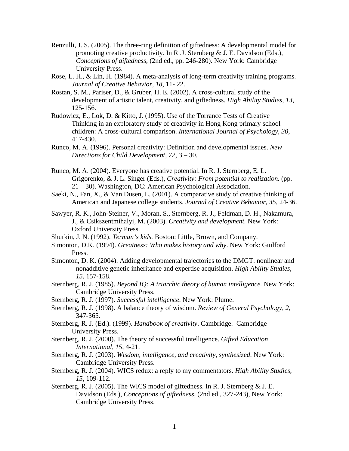- Renzulli, J. S. (2005). The three-ring definition of giftedness: A developmental model for promoting creative productivity. In R  $\cdot$  J. Sternberg & J. E. Davidson (Eds.), *Conceptions of giftedness,* (2nd ed., pp. 246-280). New York: Cambridge University Press.
- Rose, L. H., & Lin, H. (1984). A meta-analysis of long-term creativity training programs. *Journal of Creative Behavior, 18,* 11- 22.
- Rostan, S. M., Pariser, D., & Gruber, H. E. (2002). A cross-cultural study of the development of artistic talent, creativity, and giftedness. *High Ability Studies*, *13*, 125-156.
- Rudowicz, E., Lok, D. & Kitto, J. (1995). Use of the Torrance Tests of Creative Thinking in an exploratory study of creativity in Hong Kong primary school children: A cross-cultural comparison. *International Journal of Psychology*, *30*, 417-430.
- Runco, M. A. (1996). Personal creativity: Definition and developmental issues. *New Directions for Child Development, 72,* 3 – 30.
- Runco, M. A. (2004). Everyone has creative potential. In R. J. Sternberg, E. L. Grigorenko, & J. L. Singer (Eds.), *Creativity: From potential to realization.* (pp. 21 – 30). Washington, DC: American Psychological Association.
- Saeki, N., Fan, X., & Van Dusen, L. (2001). A comparative study of creative thinking of American and Japanese college students. *Journal of Creative Behavior, 35*, 24-36.
- Sawyer, R. K., John-Steiner, V., Moran, S., Sternberg, R. J., Feldman, D. H., Nakamura, J., & Csikszentmihalyi, M. (2003). *Creativity and development.* New York: Oxford University Press.
- Shurkin, J. N. (1992). *Terman's kids.* Boston: Little, Brown, and Company.
- Simonton, D.K. (1994). *Greatness: Who makes history and why*. New York: Guilford Press.
- Simonton, D. K. (2004). Adding developmental trajectories to the DMGT: nonlinear and nonadditive genetic inheritance and expertise acquisition. *High Ability Studies, 15*, 157-158.
- Sternberg, R. J. (1985). *Beyond IQ: A triarchic theory of human intelligence.* New York: Cambridge University Press.
- Sternberg, R. J. (1997). *Successful intelligence*. New York: Plume.
- Sternberg, R. J. (1998). A balance theory of wisdom. *Review of General Psychology, 2*, 347-365.
- Sternberg, R. J. (Ed.). (1999). *Handbook of creativity*. Cambridge: Cambridge University Press.
- Sternberg, R. J. (2000). The theory of successful intelligence. *Gifted Education International, 15*, 4-21.
- Sternberg, R. J. (2003). *Wisdom, intelligence, and creativity, synthesized*. New York: Cambridge University Press.
- Sternberg, R. J. (2004). WICS redux: a reply to my commentators. *High Ability Studies, 15*, 109-112.
- Sternberg, R. J. (2005). The WICS model of giftedness. In R. J. Sternberg  $\&$  J. E. Davidson (Eds.), *Conceptions of giftedness*, (2nd ed., 327-243), New York: Cambridge University Press.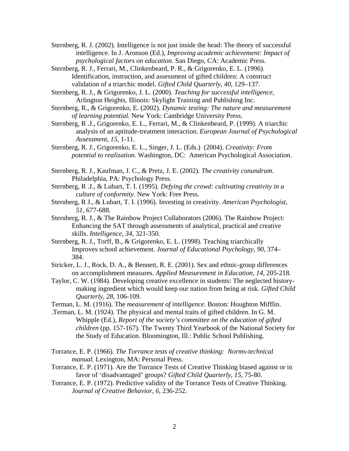Sternberg, R. J. (2002). Intelligence is not just inside the head: The theory of successful intelligence. In J. Aronson (Ed.), *Improving academic achievement: Impact of psychological factors on education*. San Diego, CA: Academic Press.

Sternberg, R. J., Ferrari, M., Clinkenbeard, P. R., & Grigorenko, E. L. (1996). Identification, instruction, and assessment of gifted children: A construct validation of a triarchic model. *Gifted Child Quarterly*, *40*, 129–137.

Sternberg, R. J., & Grigorenko, J. L. (2000). *Teaching for successful intelligence*, Arlington Heights, Illinois: Skylight Training and Publishing Inc.

Sternberg, R., & Grigorenko, E. (2002). *Dynamic testing: The nature and measurement of learning potential.* New York: Cambridge University Press.

Sternberg, R .J., Grigorenko, E. L., Ferrari, M., & Clinkenbeard, P. (1999). A triarchic analysis of an aptitude-treatment interaction. *European Journal of Psychological Assessment, 15*, 1-11.

Sternberg, R. J., Grigorenko, E. L., Singer, J. L. (Eds.) (2004). *Creativity: From potential to realization.* Washington, DC: American Psychological Association.

Sternberg, R. J., Kaufman, J. C., & Pretz, J. E. (2002). *The creativity conundrum*. Philadelphia, PA: Psychology Press.

Sternberg, R .J., & Lubart, T. I. (1995). *Defying the crowd: cultivating creativity in a culture of conformity*. New York: Free Press.

Sternberg, R J., & Lubart, T. I. (1996). Investing in creativity. *American Psychologist, 51*, 677-688.

Sternberg, R. J., & The Rainbow Project Collaborators (2006). The Rainbow Project: Enhancing the SAT through assessments of analytical, practical and creative skills. *Intelligence*, *34*, 321-350.

Sternberg, R. J., Torff, B., & Grigorenko, E. L. (1998). Teaching triarchically Improves school achievement. *Journal of Educational Psychology, 90*, 374– 384.

Stricker, L. J., Rock, D. A., & Bennett, R. E. (2001). Sex and ethnic-group differences on accomplishment measures. *Applied Measurement in Education, 14*, 205-218.

Taylor, C. W. (1984). Developing creative excellence in students: The neglected historymaking ingredient which would keep our nation from being at risk. *Gifted Child Quarterly, 28,* 106-109.

Terman, L. M. (1916). The *measurement of intelligence*. Boston: Houghton Mifflin.

.Terman, L. M. (1924). The physical and mental traits of gifted children. In G. M. Whipple (Ed.), *Report of the society's committee on the education of gifted children* (pp. 157-167). The Twenty Third Yearbook of the National Society for the Study of Education. Bloomington, Ill.: Public School Publishing.

Torrance, E. P. (1966). *The Torrance tests of creative thinking: Norms-technical manual.* Lexington, MA: Personal Press.

Torrance, E. P. (1971). Are the Torrance Tests of Creative Thinking biased against or in favor of 'disadvantaged' groups? *Gifted Child Quarterly, 15,* 75-80.

Torrance, E. P. (1972). Predictive validity of the Torrance Tests of Creative Thinking. *Journal of Creative Behavior, 6,* 236-252.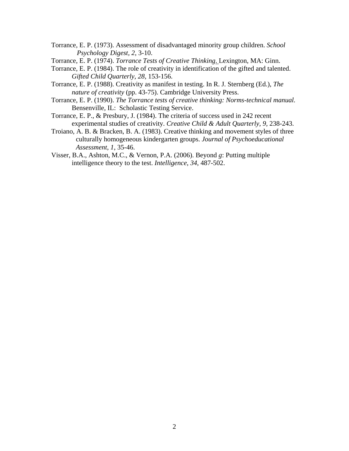- Torrance, E. P. (1973). Assessment of disadvantaged minority group children. *School Psychology Digest, 2*, 3-10.
- Torrance, E. P. (1974). *Torrance Tests of Creative Thinking*. Lexington, MA: Ginn.
- Torrance, E. P. (1984). The role of creativity in identification of the gifted and talented. *Gifted Child Quarterly, 28,* 153-156.
- Torrance, E. P. (1988). Creativity as manifest in testing. In R. J. Sternberg (Ed.), *The nature of creativity* (pp. 43-75). Cambridge University Press.
- Torrance, E. P. (1990). *The Torrance tests of creative thinking: Norms-technical manual.*  Bensenville, IL: Scholastic Testing Service.
- Torrance, E. P., & Presbury, J. (1984). The criteria of success used in 242 recent experimental studies of creativity. *Creative Child & Adult Quarterly, 9,* 238-243.
- Troiano, A. B. & Bracken, B. A. (1983). Creative thinking and movement styles of three culturally homogeneous kindergarten groups. *Journal of Psychoeducational Assessment, 1*, 35-46.
- Visser, B.A., Ashton, M.C., & Vernon, P.A. (2006). Beyond *g*: Putting multiple intelligence theory to the test. *Intelligence*, *34*, 487-502.